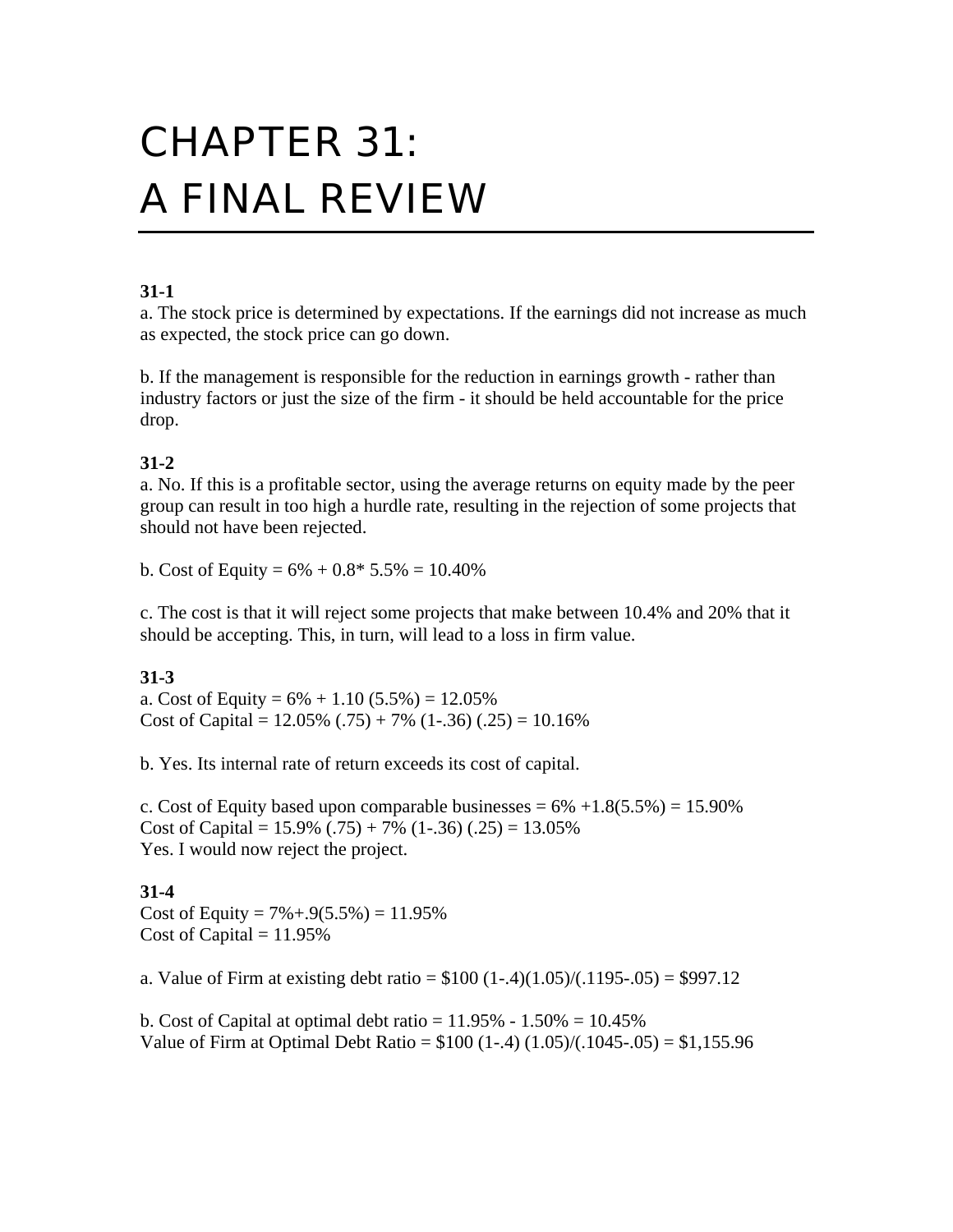# CHAPTER 31: A FINAL REVIEW

## **31-1**

a. The stock price is determined by expectations. If the earnings did not increase as much as expected, the stock price can go down.

b. If the management is responsible for the reduction in earnings growth - rather than industry factors or just the size of the firm - it should be held accountable for the price drop.

# **31-2**

a. No. If this is a profitable sector, using the average returns on equity made by the peer group can result in too high a hurdle rate, resulting in the rejection of some projects that should not have been rejected.

b. Cost of Equity =  $6\% + 0.8*5.5\% = 10.40\%$ 

c. The cost is that it will reject some projects that make between 10.4% and 20% that it should be accepting. This, in turn, will lead to a loss in firm value.

# **31-3**

a. Cost of Equity =  $6\% + 1.10$  (5.5%) = 12.05% Cost of Capital =  $12.05\%$  (.75) + 7% (1-.36) (.25) = 10.16%

b. Yes. Its internal rate of return exceeds its cost of capital.

c. Cost of Equity based upon comparable businesses  $= 6\% +1.8(5.5\%) = 15.90\%$ Cost of Capital =  $15.9\%$  (.75) + 7% (1-.36) (.25) = 13.05% Yes. I would now reject the project.

## **31-4**

Cost of Equity =  $7\% + .9(5.5\%) = 11.95\%$ Cost of Capital  $= 11.95\%$ 

a. Value of Firm at existing debt ratio =  $$100 (1-.4)(1.05)/(1195-.05) = $997.12$ 

b. Cost of Capital at optimal debt ratio =  $11.95\% - 1.50\% = 10.45\%$ Value of Firm at Optimal Debt Ratio =  $$100 (1-.4) (1.05)/(1045-.05) = $1,155.96$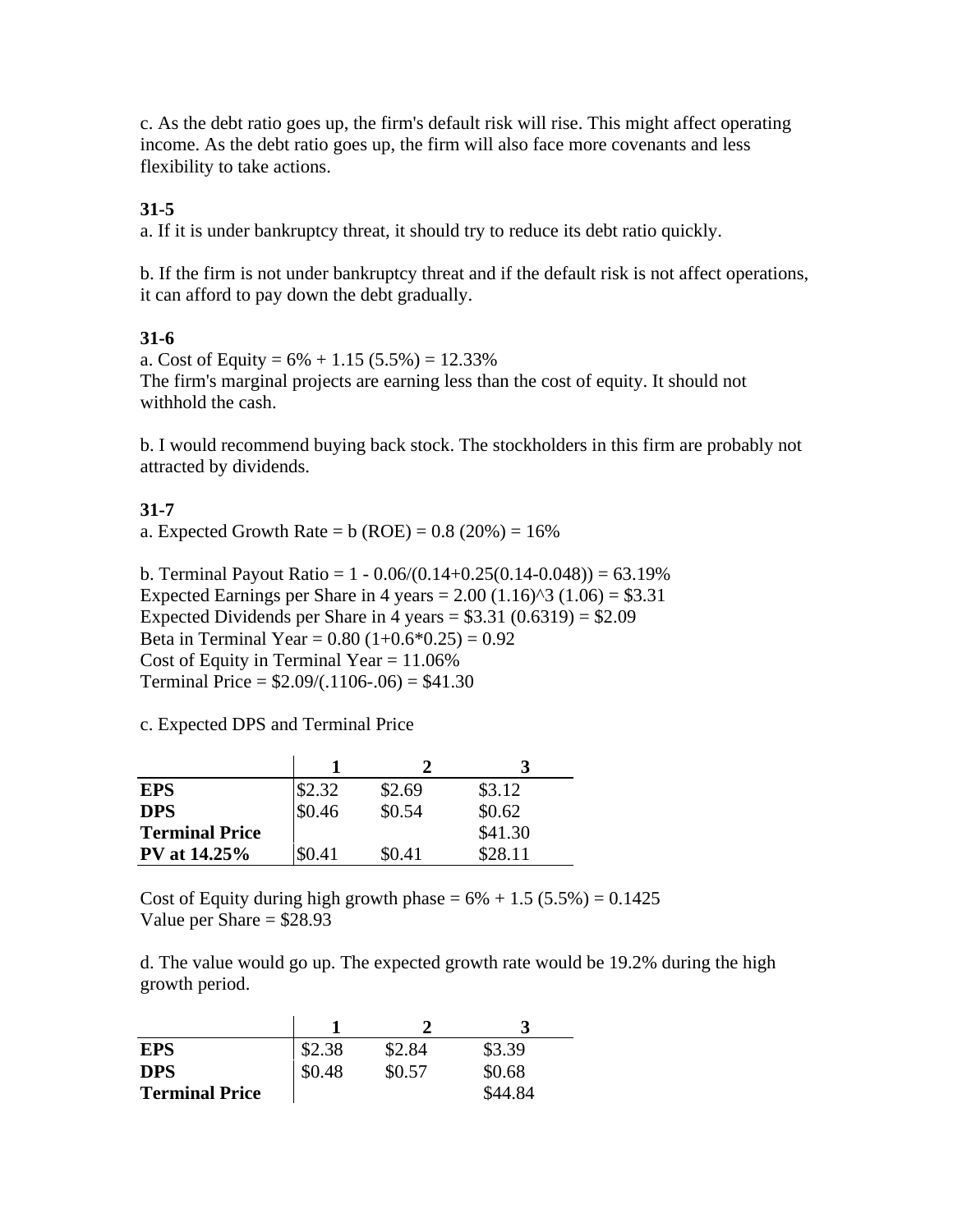c. As the debt ratio goes up, the firm's default risk will rise. This might affect operating income. As the debt ratio goes up, the firm will also face more covenants and less flexibility to take actions.

# **31-5**

a. If it is under bankruptcy threat, it should try to reduce its debt ratio quickly.

b. If the firm is not under bankruptcy threat and if the default risk is not affect operations, it can afford to pay down the debt gradually.

## **31-6**

a. Cost of Equity =  $6\% + 1.15(5.5\%) = 12.33\%$ The firm's marginal projects are earning less than the cost of equity. It should not withhold the cash.

b. I would recommend buying back stock. The stockholders in this firm are probably not attracted by dividends.

# **31-7**

a. Expected Growth Rate =  $b (ROE) = 0.8 (20%) = 16%$ 

b. Terminal Payout Ratio =  $1 - 0.06/(0.14 + 0.25(0.14 - 0.048)) = 63.19\%$ Expected Earnings per Share in 4 years =  $2.00$  (1.16)<sup> $\land$ </sup>3 (1.06) = \$3.31 Expected Dividends per Share in 4 years =  $$3.31 (0.6319) = $2.09$ Beta in Terminal Year =  $0.80$  (1+ $0.6*0.25$ ) =  $0.92$ Cost of Equity in Terminal Year  $= 11.06\%$ Terminal Price =  $$2.09/(.1106-.06) = $41.30$ 

c. Expected DPS and Terminal Price

| <b>EPS</b>            | \$2.32 | \$2.69 | \$3.12  |
|-----------------------|--------|--------|---------|
| <b>DPS</b>            | \$0.46 | \$0.54 | \$0.62  |
| <b>Terminal Price</b> |        |        | \$41.30 |
| <b>PV</b> at 14.25%   | \$O 41 | \$0.41 | \$28.11 |

Cost of Equity during high growth phase  $= 6\% + 1.5$  (5.5%)  $= 0.1425$ Value per Share  $= $28.93$ 

d. The value would go up. The expected growth rate would be 19.2% during the high growth period.

| <b>EPS</b>            | \$2.38 | \$2.84 | \$3.39  |
|-----------------------|--------|--------|---------|
| <b>DPS</b>            | \$0.48 | \$0.57 | \$0.68  |
| <b>Terminal Price</b> |        |        | \$44.84 |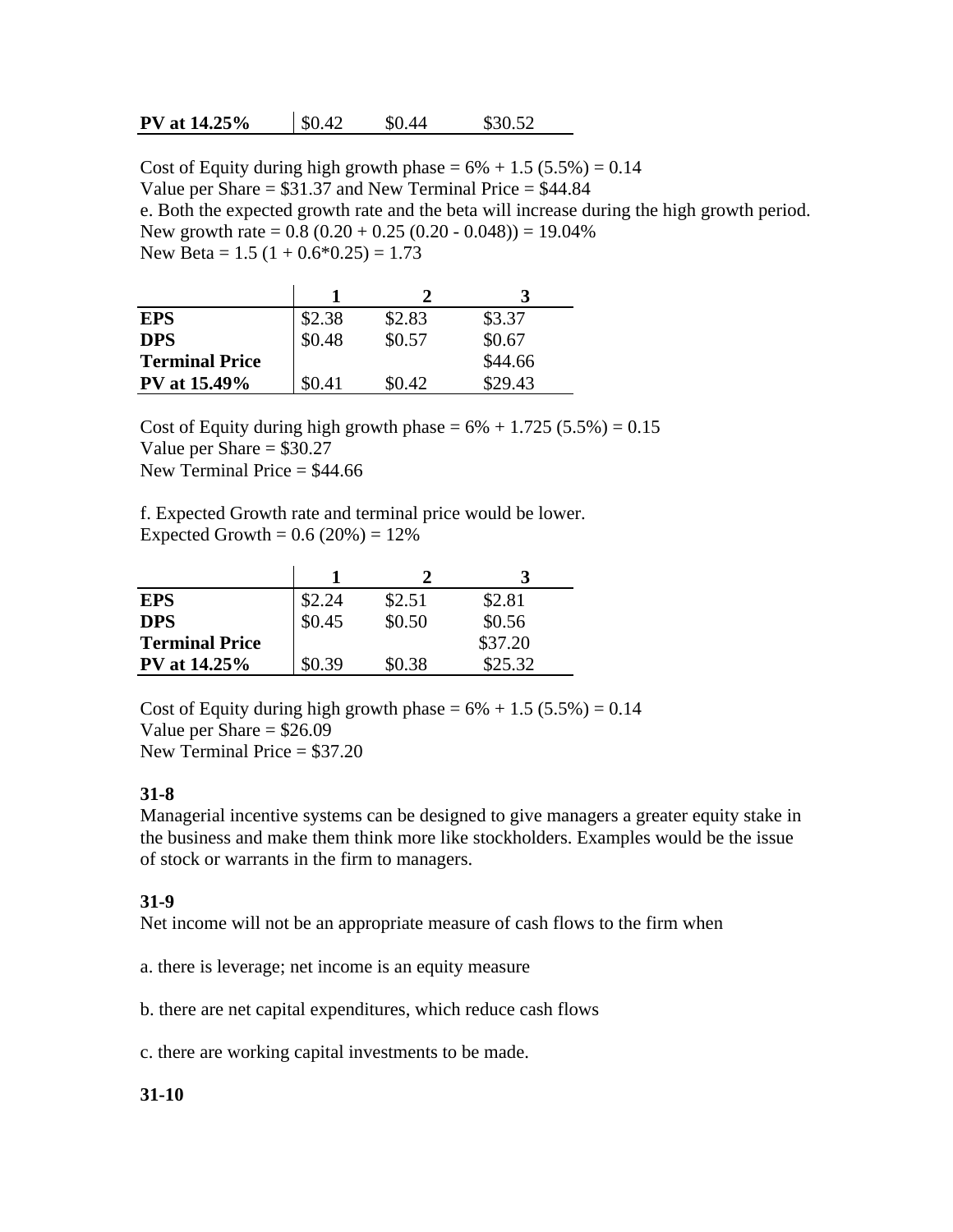#### **PV at 14.25%**  $\begin{array}{ccc} \n\boxed{0.42} & \quad \text{$0.44} & \quad \text{$0.52}\n\end{array}$

Cost of Equity during high growth phase  $= 6\% + 1.5 (5.5\%) = 0.14$ Value per Share = \$31.37 and New Terminal Price = \$44.84 e. Both the expected growth rate and the beta will increase during the high growth period. New growth rate  $= 0.8 (0.20 + 0.25 (0.20 - 0.048)) = 19.04\%$ New Beta =  $1.5$  (1 + 0.6\*0.25) = 1.73

| <b>EPS</b>            | \$2.38 | \$2.83 | \$3.37  |
|-----------------------|--------|--------|---------|
| <b>DPS</b>            | \$0.48 | \$0.57 | \$0.67  |
| <b>Terminal Price</b> |        |        | \$44.66 |
| <b>PV</b> at 15.49%   | \$0.41 | \$0.42 | \$29.43 |

Cost of Equity during high growth phase =  $6\% + 1.725(5.5\%) = 0.15$ Value per Share  $= $30.27$ New Terminal Price  $=$  \$44.66

f. Expected Growth rate and terminal price would be lower. Expected Growth =  $0.6 (20%) = 12%$ 

| <b>EPS</b>            | \$2.24 | \$2.51 | \$2.81  |
|-----------------------|--------|--------|---------|
| <b>DPS</b>            | \$0.45 | \$0.50 | \$0.56  |
| <b>Terminal Price</b> |        |        | \$37.20 |
| <b>PV</b> at 14.25%   | \$0.39 | \$0.38 | \$25.32 |

Cost of Equity during high growth phase  $= 6\% + 1.5 (5.5\%) = 0.14$ Value per Share  $=$  \$26.09 New Terminal Price = \$37.20

#### **31-8**

Managerial incentive systems can be designed to give managers a greater equity stake in the business and make them think more like stockholders. Examples would be the issue of stock or warrants in the firm to managers.

#### **31-9**

Net income will not be an appropriate measure of cash flows to the firm when

a. there is leverage; net income is an equity measure

b. there are net capital expenditures, which reduce cash flows

c. there are working capital investments to be made.

#### **31-10**